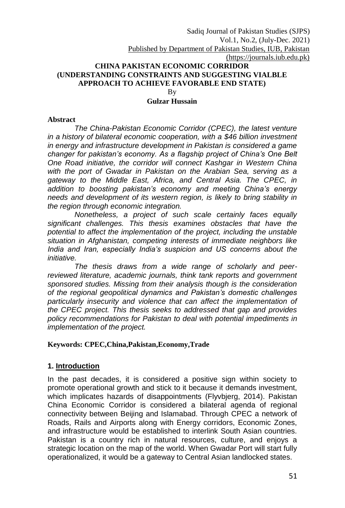## **CHINA PAKISTAN ECONOMIC CORRIDOR (UNDERSTANDING CONSTRAINTS AND SUGGESTING VIALBLE APPROACH TO ACHIEVE FAVORABLE END STATE)**

By

#### **Gulzar Hussain**

#### **Abstract**

*The China-Pakistan Economic Corridor (CPEC), the latest venture in a history of bilateral economic cooperation, with a \$46 billion investment in energy and infrastructure development in Pakistan is considered a game changer for pakistan's economy. As a flagship project of China's One Belt One Road initiative, the corridor will connect Kashgar in Western China with the port of Gwadar in Pakistan on the Arabian Sea, serving as a gateway to the Middle East, Africa, and Central Asia. The CPEC, in addition to boosting pakistan's economy and meeting China's energy needs and development of its western region, is likely to bring stability in the region through economic integration.*

*Nonetheless, a project of such scale certainly faces equally significant challenges. This thesis examines obstacles that have the potential to affect the implementation of the project, including the unstable situation in Afghanistan, competing interests of immediate neighbors like India and Iran, especially India's suspicion and US concerns about the initiative.*

*The thesis draws from a wide range of scholarly and peerreviewed literature, academic journals, think tank reports and government sponsored studies. Missing from their analysis though is the consideration of the regional geopolitical dynamics and Pakistan's domestic challenges particularly insecurity and violence that can affect the implementation of the CPEC project. This thesis seeks to addressed that gap and provides policy recommendations for Pakistan to deal with potential impediments in implementation of the project.*

#### **Keywords: CPEC,China,Pakistan,Economy,Trade**

#### **1. Introduction**

In the past decades, it is considered a positive sign within society to promote operational growth and stick to it because it demands investment, which implicates hazards of disappointments (Flyvbjerg, 2014). Pakistan China Economic Corridor is considered a bilateral agenda of regional connectivity between Beijing and Islamabad. Through CPEC a network of Roads, Rails and Airports along with Energy corridors, Economic Zones, and infrastructure would be established to interlink South Asian countries. Pakistan is a country rich in natural resources, culture, and enjoys a strategic location on the map of the world. When Gwadar Port will start fully operationalized, it would be a gateway to Central Asian landlocked states.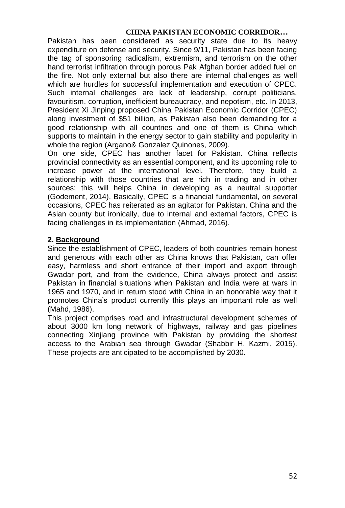Pakistan has been considered as security state due to its heavy expenditure on defense and security. Since 9/11, Pakistan has been facing the tag of sponsoring radicalism, extremism, and terrorism on the other hand terrorist infiltration through porous Pak Afghan border added fuel on the fire. Not only external but also there are internal challenges as well which are hurdles for successful implementation and execution of CPEC. Such internal challenges are lack of leadership, corrupt politicians, favouritism, corruption, inefficient bureaucracy, and nepotism, etc. In 2013, President Xi Jinping proposed China Pakistan Economic Corridor (CPEC) along investment of \$51 billion, as Pakistan also been demanding for a good relationship with all countries and one of them is China which supports to maintain in the energy sector to gain stability and popularity in whole the region (Argano& Gonzalez Quinones, 2009).

On one side, CPEC has another facet for Pakistan. China reflects provincial connectivity as an essential component, and its upcoming role to increase power at the international level. Therefore, they build a relationship with those countries that are rich in trading and in other sources; this will helps China in developing as a neutral supporter (Godement, 2014). Basically, CPEC is a financial fundamental, on several occasions, CPEC has reiterated as an agitator for Pakistan, China and the Asian county but ironically, due to internal and external factors, CPEC is facing challenges in its implementation (Ahmad, 2016).

## **2. Background**

Since the establishment of CPEC, leaders of both countries remain honest and generous with each other as China knows that Pakistan, can offer easy, harmless and short entrance of their import and export through Gwadar port, and from the evidence, China always protect and assist Pakistan in financial situations when Pakistan and India were at wars in 1965 and 1970, and in return stood with China in an honorable way that it promotes China's product currently this plays an important role as well (Mahd, 1986).

This project comprises road and infrastructural development schemes of about 3000 km long network of highways, railway and gas pipelines connecting Xinjiang province with Pakistan by providing the shortest access to the Arabian sea through Gwadar (Shabbir H. Kazmi, 2015). These projects are anticipated to be accomplished by 2030.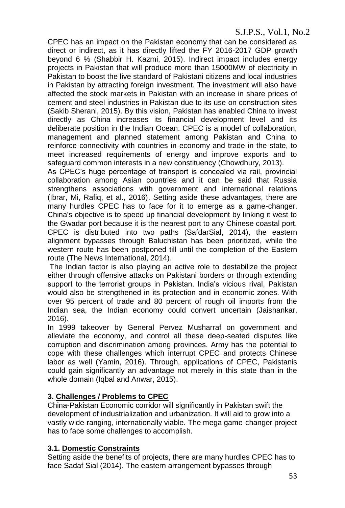# S.J.P.S., Vol.1, No.2

CPEC has an impact on the Pakistan economy that can be considered as direct or indirect, as it has directly lifted the FY 2016-2017 GDP growth beyond 6 % (Shabbir H. Kazmi, 2015). Indirect impact includes energy projects in Pakistan that will produce more than 15000MW of electricity in Pakistan to boost the live standard of Pakistani citizens and local industries in Pakistan by attracting foreign investment. The investment will also have affected the stock markets in Pakistan with an increase in share prices of cement and steel industries in Pakistan due to its use on construction sites (Sakib Sherani, 2015). By this vision, Pakistan has enabled China to invest directly as China increases its financial development level and its deliberate position in the Indian Ocean. CPEC is a model of collaboration, management and planned statement among Pakistan and China to reinforce connectivity with countries in economy and trade in the state, to meet increased requirements of energy and improve exports and to safeguard common interests in a new constituency (Chowdhury, 2013).

As CPEC's huge percentage of transport is concealed via rail, provincial collaboration among Asian countries and it can be said that Russia strengthens associations with government and international relations (Ibrar, Mi, Rafiq, et al., 2016). Setting aside these advantages, there are many hurdles CPEC has to face for it to emerge as a game-changer. China's objective is to speed up financial development by linking it west to the Gwadar port because it is the nearest port to any Chinese coastal port. CPEC is distributed into two paths (SafdarSial, 2014), the eastern alignment bypasses through Baluchistan has been prioritized, while the western route has been postponed till until the completion of the Eastern route (The News International, 2014).

The Indian factor is also playing an active role to destabilize the project either through offensive attacks on Pakistani borders or through extending support to the terrorist groups in Pakistan. India's vicious rival, Pakistan would also be strengthened in its protection and in economic zones. With over 95 percent of trade and 80 percent of rough oil imports from the Indian sea, the Indian economy could convert uncertain (Jaishankar, 2016).

In 1999 takeover by General Pervez Musharraf on government and alleviate the economy, and control all these deep-seated disputes like corruption and discrimination among provinces. Army has the potential to cope with these challenges which interrupt CPEC and protects Chinese labor as well (Yamin, 2016). Through, applications of CPEC, Pakistanis could gain significantly an advantage not merely in this state than in the whole domain (Iqbal and Anwar, 2015).

# **3. Challenges / Problems to CPEC**

China-Pakistan Economic corridor will significantly in Pakistan swift the development of industrialization and urbanization. It will aid to grow into a vastly wide-ranging, internationally viable. The mega game-changer project has to face some challenges to accomplish.

# **3.1. Domestic Constraints**

Setting aside the benefits of projects, there are many hurdles CPEC has to face Sadaf Sial (2014). The eastern arrangement bypasses through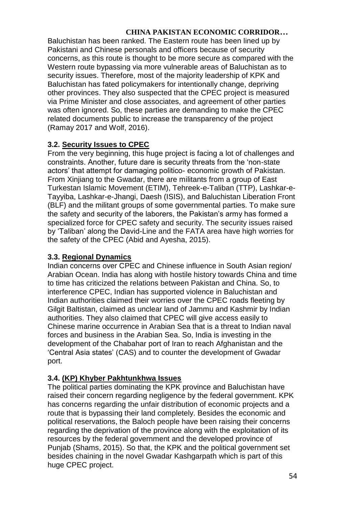Baluchistan has been ranked. The Eastern route has been lined up by Pakistani and Chinese personals and officers because of security concerns, as this route is thought to be more secure as compared with the Western route bypassing via more vulnerable areas of Baluchistan as to security issues. Therefore, most of the majority leadership of KPK and Baluchistan has fated policymakers for intentionally change, depriving other provinces. They also suspected that the CPEC project is measured via Prime Minister and close associates, and agreement of other parties was often ignored. So, these parties are demanding to make the CPEC related documents public to increase the transparency of the project (Ramay 2017 and Wolf, 2016).

# **3.2. Security Issues to CPEC**

From the very beginning, this huge project is facing a lot of challenges and constraints. Another, future dare is security threats from the 'non-state actors' that attempt for damaging politico- economic growth of Pakistan. From Xinjiang to the Gwadar, there are militants from a group of East Turkestan Islamic Movement (ETIM), Tehreek-e-Taliban (TTP), Lashkar-e-Tayyiba, Lashkar-e-Jhangi, Daesh (ISIS), and Baluchistan Liberation Front (BLF) and the militant groups of some governmental parties. To make sure the safety and security of the laborers, the Pakistan's army has formed a specialized force for CPEC safety and security. The security issues raised by 'Taliban' along the David-Line and the FATA area have high worries for the safety of the CPEC (Abid and Ayesha, 2015).

# **3.3. Regional Dynamics**

Indian concerns over CPEC and Chinese influence in South Asian region/ Arabian Ocean. India has along with hostile history towards China and time to time has criticized the relations between Pakistan and China. So, to interference CPEC, Indian has supported violence in Baluchistan and Indian authorities claimed their worries over the CPEC roads fleeting by Gilgit Baltistan, claimed as unclear land of Jammu and Kashmir by Indian authorities. They also claimed that CPEC will give access easily to Chinese marine occurrence in Arabian Sea that is a threat to Indian naval forces and business in the Arabian Sea. So, India is investing in the development of the Chabahar port of Iran to reach Afghanistan and the 'Central Asia states' (CAS) and to counter the development of Gwadar port.

# **3.4. (KP) Khyber Pakhtunkhwa Issues**

The political parties dominating the KPK province and Baluchistan have raised their concern regarding negligence by the federal government. KPK has concerns regarding the unfair distribution of economic projects and a route that is bypassing their land completely. Besides the economic and political reservations, the Baloch people have been raising their concerns regarding the deprivation of the province along with the exploitation of its resources by the federal government and the developed province of Punjab (Shams, 2015). So that, the KPK and the political government set besides chaining in the novel Gwadar Kashgarpath which is part of this huge CPEC project.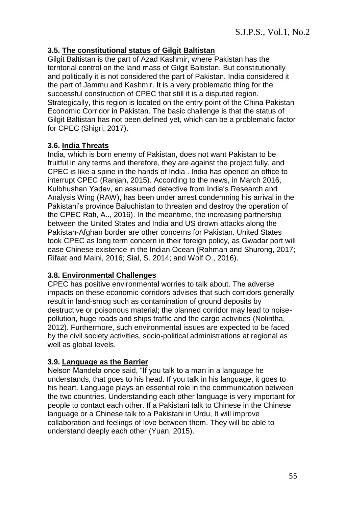## **3.5. The constitutional status of Gilgit Baltistan**

Gilgit Baltistan is the part of Azad Kashmir, where Pakistan has the territorial control on the land mass of Gilgit Baltistan. But constitutionally and politically it is not considered the part of Pakistan. India considered it the part of Jammu and Kashmir. It is a very problematic thing for the successful construction of CPEC that still it is a disputed region. Strategically, this region is located on the entry point of the China Pakistan Economic Corridor in Pakistan. The basic challenge is that the status of Gilgit Baltistan has not been defined yet, which can be a problematic factor for CPEC (Shigri, 2017).

## **3.6. India Threats**

India, which is born enemy of Pakistan, does not want Pakistan to be fruitful in any terms and therefore, they are against the project fully, and CPEC is like a spine in the hands of India . India has opened an office to interrupt CPEC (Ranjan, 2015). According to the news, in March 2016, Kulbhushan Yadav, an assumed detective from India's Research and Analysis Wing (RAW), has been under arrest condemning his arrival in the Pakistani's province Baluchistan to threaten and destroy the operation of the CPEC Rafi, A.., 2016). In the meantime, the increasing partnership between the United States and India and US drown attacks along the Pakistan-Afghan border are other concerns for Pakistan. United States took CPEC as long term concern in their foreign policy, as Gwadar port will ease Chinese existence in the Indian Ocean (Rahman and Shurong, 2017; Rifaat and Maini, 2016; Sial, S. 2014; and Wolf O., 2016).

### **3.8. Environmental Challenges**

CPEC has positive environmental worries to talk about. The adverse impacts on these economic-corridors advises that such corridors generally result in land-smog such as contamination of ground deposits by destructive or poisonous material; the planned corridor may lead to noisepollution, huge roads and ships traffic and the cargo activities (Nolintha, 2012). Furthermore, such environmental issues are expected to be faced by the civil society activities, socio-political administrations at regional as well as global levels.

# **3.9. Language as the Barrier**

Nelson Mandela once said, "If you talk to a man in a language he understands, that goes to his head. If you talk in his language, it goes to his heart. Language plays an essential role in the communication between the two countries. Understanding each other language is very important for people to contact each other. If a Pakistani talk to Chinese in the Chinese language or a Chinese talk to a Pakistani in Urdu, It will improve collaboration and feelings of love between them. They will be able to understand deeply each other (Yuan, 2015).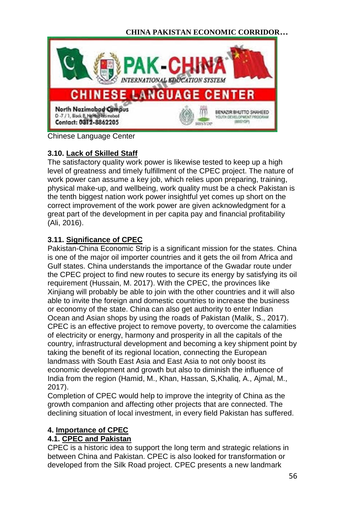

Chinese Language Center

# **3.10. Lack of Skilled Staff**

The satisfactory quality work power is likewise tested to keep up a high level of greatness and timely fulfillment of the CPEC project. The nature of work power can assume a key job, which relies upon preparing, training, physical make-up, and wellbeing, work quality must be a check Pakistan is the tenth biggest nation work power insightful yet comes up short on the correct improvement of the work power are given acknowledgment for a great part of the development in per capita pay and financial profitability (Ali, 2016).

# **3.11. Significance of CPEC**

Pakistan-China Economic Strip is a significant mission for the states. China is one of the major oil importer countries and it gets the oil from Africa and Gulf states. China understands the importance of the Gwadar route under the CPEC project to find new routes to secure its energy by satisfying its oil requirement (Hussain, M. 2017). With the CPEC, the provinces like Xinjiang will probably be able to join with the other countries and it will also able to invite the foreign and domestic countries to increase the business or economy of the state. China can also get authority to enter Indian Ocean and Asian shops by using the roads of Pakistan (Malik, S., 2017). CPEC is an effective project to remove poverty, to overcome the calamities of electricity or energy, harmony and prosperity in all the capitals of the country, infrastructural development and becoming a key shipment point by taking the benefit of its regional location, connecting the European landmass with South East Asia and East Asia to not only boost its economic development and growth but also to diminish the influence of India from the region (Hamid, M., Khan, Hassan, S,Khaliq, A., Ajmal, M., 2017).

Completion of CPEC would help to improve the integrity of China as the growth companion and affecting other projects that are connected. The declining situation of local investment, in every field Pakistan has suffered.

# **4. Importance of CPEC**

# **4.1. CPEC and Pakistan**

CPEC is a historic idea to support the long term and strategic relations in between China and Pakistan. CPEC is also looked for transformation or developed from the Silk Road project. CPEC presents a new landmark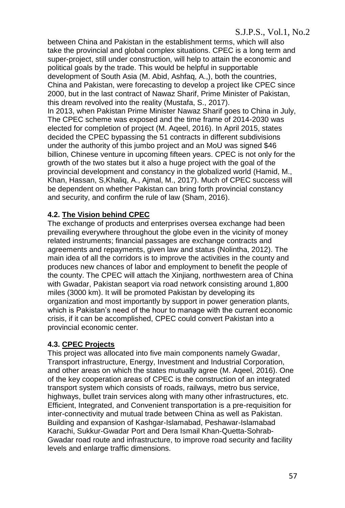between China and Pakistan in the establishment terms, which will also take the provincial and global complex situations. CPEC is a long term and super-project, still under construction, will help to attain the economic and political goals by the trade. This would be helpful in supportable development of South Asia (M. Abid, Ashfaq, A.,), both the countries, China and Pakistan, were forecasting to develop a project like CPEC since 2000, but in the last contract of Nawaz Sharif, Prime Minister of Pakistan, this dream revolved into the reality (Mustafa, S., 2017). In 2013, when Pakistan Prime Minister Nawaz Sharif goes to China in July, The CPEC scheme was exposed and the time frame of 2014-2030 was

elected for completion of project (M. Aqeel, 2016). In April 2015, states decided the CPEC bypassing the 51 contracts in different subdivisions under the authority of this jumbo project and an MoU was signed \$46 billion, Chinese venture in upcoming fifteen years. CPEC is not only for the growth of the two states but it also a huge project with the goal of the provincial development and constancy in the globalized world (Hamid, M., Khan, Hassan, S,Khaliq, A., Ajmal, M., 2017). Much of CPEC success will be dependent on whether Pakistan can bring forth provincial constancy and security, and confirm the rule of law (Sham, 2016).

# **4.2. The Vision behind CPEC**

The exchange of products and enterprises oversea exchange had been prevailing everywhere throughout the globe even in the vicinity of money related instruments; financial passages are exchange contracts and agreements and repayments, given law and status (Nolintha, 2012). The main idea of all the corridors is to improve the activities in the county and produces new chances of labor and employment to benefit the people of the county. The CPEC will attach the Xinjiang, northwestern area of China with Gwadar, Pakistan seaport via road network consisting around 1,800 miles (3000 km). It will be promoted Pakistan by developing its organization and most importantly by support in power generation plants, which is Pakistan's need of the hour to manage with the current economic crisis, if it can be accomplished, CPEC could convert Pakistan into a provincial economic center.

# **4.3. CPEC Projects**

This project was allocated into five main components namely Gwadar, Transport infrastructure, Energy, Investment and Industrial Corporation, and other areas on which the states mutually agree (M. Aqeel, 2016). One of the key cooperation areas of CPEC is the construction of an integrated transport system which consists of roads, railways, metro bus service, highways, bullet train services along with many other infrastructures, etc. Efficient, Integrated, and Convenient transportation is a pre-requisition for inter-connectivity and mutual trade between China as well as Pakistan. Building and expansion of Kashgar-Islamabad, Peshawar-Islamabad Karachi, Sukkur-Gwadar Port and Dera Ismail Khan-Quetta-Sohrab-Gwadar road route and infrastructure, to improve road security and facility levels and enlarge traffic dimensions.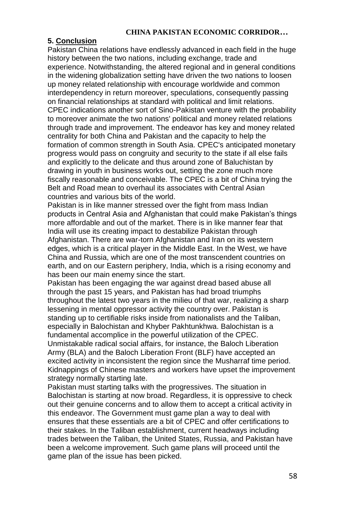### **5. Conclusion**

Pakistan China relations have endlessly advanced in each field in the huge history between the two nations, including exchange, trade and experience. Notwithstanding, the altered regional and in general conditions in the widening globalization setting have driven the two nations to loosen up money related relationship with encourage worldwide and common interdependency in return moreover, speculations, consequently passing on financial relationships at standard with political and limit relations. CPEC indications another sort of Sino-Pakistan venture with the probability to moreover animate the two nations' political and money related relations through trade and improvement. The endeavor has key and money related centrality for both China and Pakistan and the capacity to help the formation of common strength in South Asia. CPEC's anticipated monetary progress would pass on congruity and security to the state if all else fails and explicitly to the delicate and thus around zone of Baluchistan by drawing in youth in business works out, setting the zone much more fiscally reasonable and conceivable. The CPEC is a bit of China trying the Belt and Road mean to overhaul its associates with Central Asian countries and various bits of the world.

Pakistan is in like manner stressed over the fight from mass Indian products in Central Asia and Afghanistan that could make Pakistan's things more affordable and out of the market. There is in like manner fear that India will use its creating impact to destabilize Pakistan through Afghanistan. There are war-torn Afghanistan and Iran on its western edges, which is a critical player in the Middle East. In the West, we have China and Russia, which are one of the most transcendent countries on earth, and on our Eastern periphery, India, which is a rising economy and has been our main enemy since the start.

Pakistan has been engaging the war against dread based abuse all through the past 15 years, and Pakistan has had broad triumphs throughout the latest two years in the milieu of that war, realizing a sharp lessening in mental oppressor activity the country over. Pakistan is standing up to certifiable risks inside from nationalists and the Taliban, especially in Balochistan and Khyber Pakhtunkhwa. Balochistan is a fundamental accomplice in the powerful utilization of the CPEC. Unmistakable radical social affairs, for instance, the Baloch Liberation Army (BLA) and the Baloch Liberation Front (BLF) have accepted an

excited activity in inconsistent the region since the Musharraf time period. Kidnappings of Chinese masters and workers have upset the improvement strategy normally starting late.

Pakistan must starting talks with the progressives. The situation in Balochistan is starting at now broad. Regardless, it is oppressive to check out their genuine concerns and to allow them to accept a critical activity in this endeavor. The Government must game plan a way to deal with ensures that these essentials are a bit of CPEC and offer certifications to their stakes. In the Taliban establishment, current headways including trades between the Taliban, the United States, Russia, and Pakistan have been a welcome improvement. Such game plans will proceed until the game plan of the issue has been picked.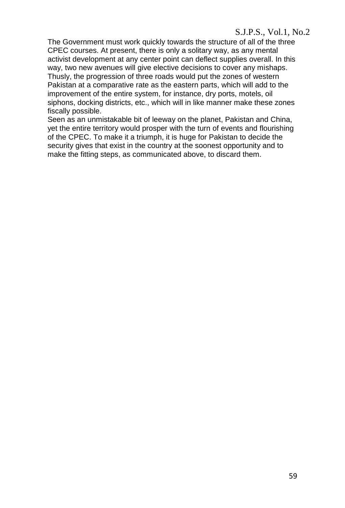## S.J.P.S., Vol.1, No.2

The Government must work quickly towards the structure of all of the three CPEC courses. At present, there is only a solitary way, as any mental activist development at any center point can deflect supplies overall. In this way, two new avenues will give elective decisions to cover any mishaps. Thusly, the progression of three roads would put the zones of western Pakistan at a comparative rate as the eastern parts, which will add to the improvement of the entire system, for instance, dry ports, motels, oil siphons, docking districts, etc., which will in like manner make these zones fiscally possible.

Seen as an unmistakable bit of leeway on the planet, Pakistan and China, yet the entire territory would prosper with the turn of events and flourishing of the CPEC. To make it a triumph, it is huge for Pakistan to decide the security gives that exist in the country at the soonest opportunity and to make the fitting steps, as communicated above, to discard them.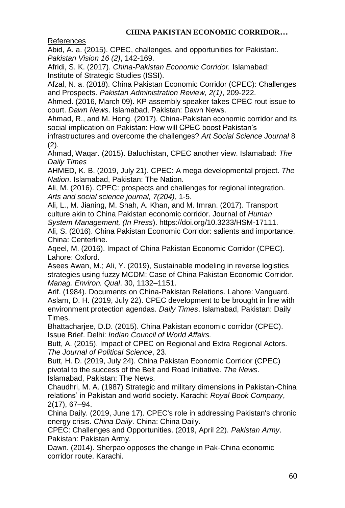References

Abid, A. a. (2015). CPEC, challenges, and opportunities for Pakistan:. *Pakistan Vision 16 (2)*, 142-169.

Afridi, S. K. (2017). *China-Pakistan Economic Corridor.* Islamabad: Institute of Strategic Studies (ISSI).

Afzal, N. a. (2018). China Pakistan Economic Corridor (CPEC): Challenges and Prospects. *Pakistan Administration Review, 2(1)*, 209-222.

Ahmed. (2016, March 09). KP assembly speaker takes CPEC rout issue to court. *Dawn News*. Islamabad, Pakistan: Dawn News.

Ahmad, R., and M. Hong. (2017). China-Pakistan economic corridor and its social implication on Pakistan: How will CPEC boost Pakistan's

infrastructures and overcome the challenges? *Art Social Science Journal* 8 (2).

Ahmad, Waqar. (2015). Baluchistan, CPEC another view. Islamabad: *The Daily Times*

AHMED, K. B. (2019, July 21). CPEC: A mega developmental project. *The Nation*. Islamabad, Pakistan: The Nation.

Ali, M. (2016). CPEC: prospects and challenges for regional integration. *Arts and social science journal, 7(204)*, 1-5.

Ali, L., M. Jianing, M. Shah, A. Khan, and M. Imran. (2017). Transport culture akin to China Pakistan economic corridor. Journal of *Human System Management, (In Press*). https://doi.org/10.3233/HSM-17111.

Ali, S. (2016). China Pakistan Economic Corridor: salients and importance. China: Centerline.

Aqeel, M. (2016). Impact of China Pakistan Economic Corridor (CPEC). Lahore: Oxford.

Asees Awan, M.; Ali, Y. (2019), Sustainable modeling in reverse logistics strategies using fuzzy MCDM: Case of China Pakistan Economic Corridor. *Manag. Environ. Qual*. 30, 1132–1151.

Arif. (1984). Documents on China-Pakistan Relations. Lahore: Vanguard. Aslam, D. H. (2019, July 22). CPEC development to be brought in line with environment protection agendas. *Daily Times*. Islamabad, Pakistan: Daily Times.

Bhattacharjee, D.D. (2015). China Pakistan economic corridor (CPEC). Issue Brief. Delhi: *Indian Council of World Affairs.*

Butt, A. (2015). Impact of CPEC on Regional and Extra Regional Actors. *The Journal of Political Science*, 23.

Butt, H. D. (2019, July 24). China Pakistan Economic Corridor (CPEC) pivotal to the success of the Belt and Road Initiative. *The News*. Islamabad, Pakistan: The News.

Chaudhri, M. A. (1987) Strategic and military dimensions in Pakistan-China relations' in Pakistan and world society. Karachi: *Royal Book Company*, 2(17), 67–94.

China Daily. (2019, June 17). CPEC's role in addressing Pakistan's chronic energy crisis. *China Daily*. China: China Daily.

CPEC: Challenges and Opportunities. (2019, April 22). *Pakistan Army*. Pakistan: Pakistan Army.

Dawn. (2014). Sherpao opposes the change in Pak-China economic corridor route. Karachi.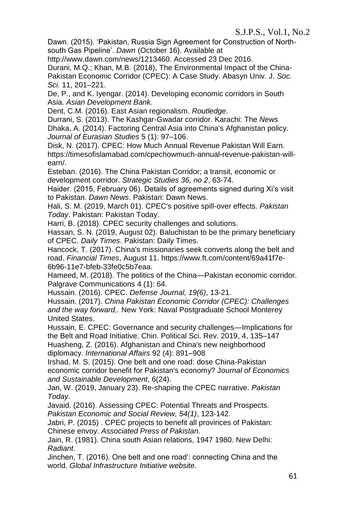Dawn. (2015). 'Pakistan, Russia Sign Agreement for Construction of Northsouth Gas Pipeline'. *Dawn* (October 16). Available at

http://www.dawn.com/news/1213460. Accessed 23 Dec 2016.

Durani, M.Q.; Khan, M.B. (2018), The Environmental Impact of the China-Pakistan Economic Corridor (CPEC): A Case Study. Abasyn Univ. J. *Soc. Sci.* 11, 201–221.

De, P., and K. Iyengar. (2014). Developing economic corridors in South Asia. *Asian Development Bank.*

Dent, C.M. (2016). East Asian regionalism. *Routledge*.

Durrani, S. (2013). The Kashgar-Gwadar corridor. Karachi: The *News* Dhaka, A. (2014). Factoring Central Asia into China's Afghanistan policy. *Journal of Eurasian Studies* 5 (1): 97–106.

Disk, N. (2017). CPEC: How Much Annual Revenue Pakistan Will Earn. https://timesofislamabad.com/cpechowmuch-annual-revenue-pakistan-willearn/.

Esteban. (2016). The China Pakistan Corridor; a transit, economic or development corridor. *Strategic Studies 36, no 2*, 63-74.

Haider. (2015, February 06). Details of agreements signed during Xi's visit to Pakistan. *Dawn News*. Pakistan: Dawn News.

Hali, S. M. (2019, March 01). CPEC's positive spill-over effects. *Pakistan Today*. Pakistan: Pakistan Today.

Harri, B. (2018). CPEC security challenges and solutions.

Hassan, S. N. (2019, August 02). Baluchistan to be the primary beneficiary of CPEC. *Daily Times*. Pakistan: Daily Times.

Hancock, T. (2017). China's missionaries seek converts along the belt and road. *Financial Times*, August 11. https://www.ft.com/content/69a41f7e-6b96-11e7-bfeb-33fe0c5b7eaa.

Hameed, M. (2018). The politics of the China—Pakistan economic corridor. Palgrave Communications 4 (1): 64.

Hussain. (2016). CPEC. *Defense Journal, 19(6)*, 13-21.

Hussain. (2017). *China Pakistan Economic Corridor (CPEC): Challenges and the way forward,.* New York: Naval Postgraduate School Monterey United States.

Hussain, E. CPEC: Governance and security challenges—Implications for the Belt and Road Initiative. Chin. Political Sci. Rev. 2019, 4, 135–147

Huasheng, Z. (2016). Afghanistan and China's new neighborhood diplomacy. *International Affairs* 92 (4): 891–908

Irshad, M. S. (2015). One belt and one road: dose China-Pakistan economic corridor benefit for Pakistan's economy? J*ournal of Economics and Sustainable Development*, 6(24).

Jan, W. (2019, January 23). Re-shaping the CPEC narrative. *Pakistan Today*.

Javaid. (2016). Assessing CPEC: Potential Threats and Prospects. *Pakistan Economic and Social Review, 54(1)*, 123-142.

Jabri, P. (2015) . CPEC projects to benefit all provinces of Pakistan: Chinese envoy. *Associated Press of Pakistan.*

Jain, R. (1981). China south Asian relations, 1947 1980. New Delhi: *Radiant*.

Jinchen, T. (2016). One belt and one road': connecting China and the world. *Global Infrastructure Initiative website.*